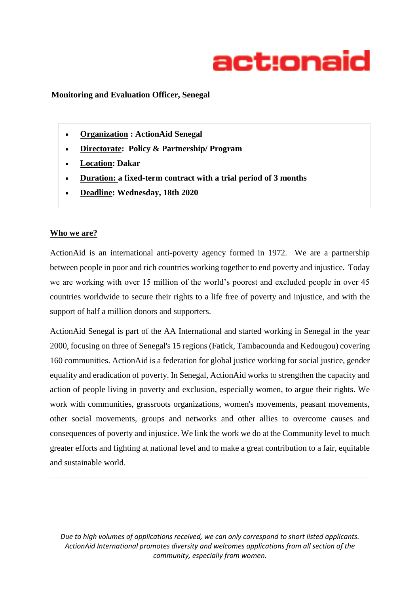

#### **Monitoring and Evaluation Officer, Senegal**

- **Organization : [ActionAid](https://unjobs.org/non-un-organizations/intrahealth) Senegal**
- **Directorate: Policy & Partnership/ Program**
- **Location: [Dakar](https://unjobs.org/duty_stations/kgl)**
- **Duration: a fixed-term contract with a trial period of 3 months**
- **Deadline: Wednesday, 18th 2020**

#### **Who we are?**

ActionAid is an international anti-poverty agency formed in 1972. We are a partnership between people in poor and rich countries working together to end poverty and injustice. Today we are working with over 15 million of the world's poorest and excluded people in over 45 countries worldwide to secure their rights to a life free of poverty and injustice, and with the support of half a million donors and supporters.

ActionAid Senegal is part of the AA International and started working in Senegal in the year 2000, focusing on three of Senegal's 15 regions (Fatick, Tambacounda and Kedougou) covering 160 communities. ActionAid is a federation for global justice working for social justice, gender equality and eradication of poverty. In Senegal, ActionAid works to strengthen the capacity and action of people living in poverty and exclusion, especially women, to argue their rights. We work with communities, grassroots organizations, women's movements, peasant movements, other social movements, groups and networks and other allies to overcome causes and consequences of poverty and injustice. We link the work we do at the Community level to much greater efforts and fighting at national level and to make a great contribution to a fair, equitable and sustainable world.

*Due to high volumes of applications received, we can only correspond to short listed applicants. ActionAid International promotes diversity and welcomes applications from all section of the community, especially from women.*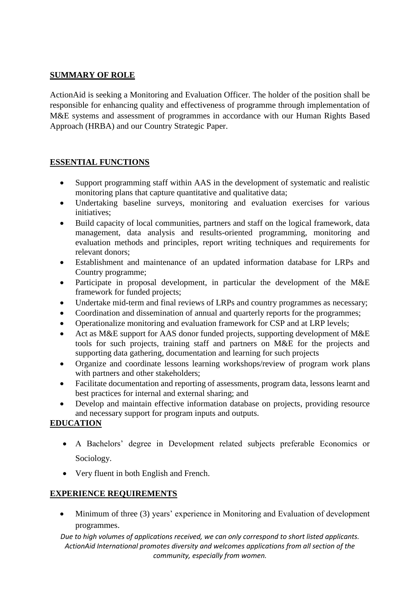### **SUMMARY OF ROLE**

ActionAid is seeking a Monitoring and Evaluation Officer. The holder of the position shall be responsible for enhancing quality and effectiveness of programme through implementation of M&E systems and assessment of programmes in accordance with our Human Rights Based Approach (HRBA) and our Country Strategic Paper.

# **ESSENTIAL FUNCTIONS**

- Support programming staff within AAS in the development of systematic and realistic monitoring plans that capture quantitative and qualitative data;
- Undertaking baseline surveys, monitoring and evaluation exercises for various initiatives;
- Build capacity of local communities, partners and staff on the logical framework, data management, data analysis and results-oriented programming, monitoring and evaluation methods and principles, report writing techniques and requirements for relevant donors;
- Establishment and maintenance of an updated information database for LRPs and Country programme;
- Participate in proposal development, in particular the development of the M&E framework for funded projects;
- Undertake mid-term and final reviews of LRPs and country programmes as necessary;
- Coordination and dissemination of annual and quarterly reports for the programmes;
- Operationalize monitoring and evaluation framework for CSP and at LRP levels;
- Act as M&E support for AAS donor funded projects, supporting development of M&E tools for such projects, training staff and partners on M&E for the projects and supporting data gathering, documentation and learning for such projects
- Organize and coordinate lessons learning workshops/review of program work plans with partners and other stakeholders;
- Facilitate documentation and reporting of assessments, program data, lessons learnt and best practices for internal and external sharing; and
- Develop and maintain effective information database on projects, providing resource and necessary support for program inputs and outputs.

# **EDUCATION**

- A Bachelors' degree in Development related subjects preferable Economics or Sociology.
- Very fluent in both English and French.

# **EXPERIENCE REQUIREMENTS**

 Minimum of three (3) years' experience in Monitoring and Evaluation of development programmes.

*Due to high volumes of applications received, we can only correspond to short listed applicants. ActionAid International promotes diversity and welcomes applications from all section of the community, especially from women.*